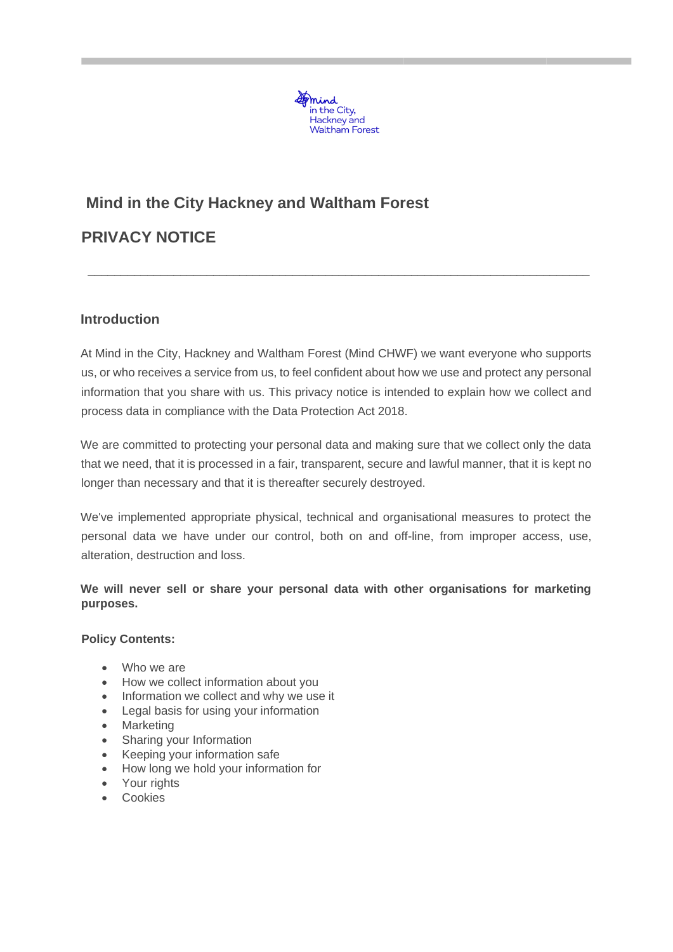

# **Mind in the City Hackney and Waltham Forest PRIVACY NOTICE**

# **Introduction**

At Mind in the City, Hackney and Waltham Forest (Mind CHWF) we want everyone who supports us, or who receives a service from us, to feel confident about how we use and protect any personal information that you share with us. This privacy notice is intended to explain how we collect and process data in compliance with the Data Protection Act 2018.

 $\_$  , and the set of the set of the set of the set of the set of the set of the set of the set of the set of the set of the set of the set of the set of the set of the set of the set of the set of the set of the set of th

We are committed to protecting your personal data and making sure that we collect only the data that we need, that it is processed in a fair, transparent, secure and lawful manner, that it is kept no longer than necessary and that it is thereafter securely destroyed.

We've implemented appropriate physical, technical and organisational measures to protect the personal data we have under our control, both on and off-line, from improper access, use, alteration, destruction and loss.

## **We will never sell or share your personal data with other organisations for marketing purposes.**

#### **Policy Contents:**

- Who we are
- How we collect information about you
- Information we collect and why we use it
- Legal basis for using your information
- Marketing
- Sharing your Information
- Keeping your information safe
- How long we hold your information for
- Your rights
- Cookies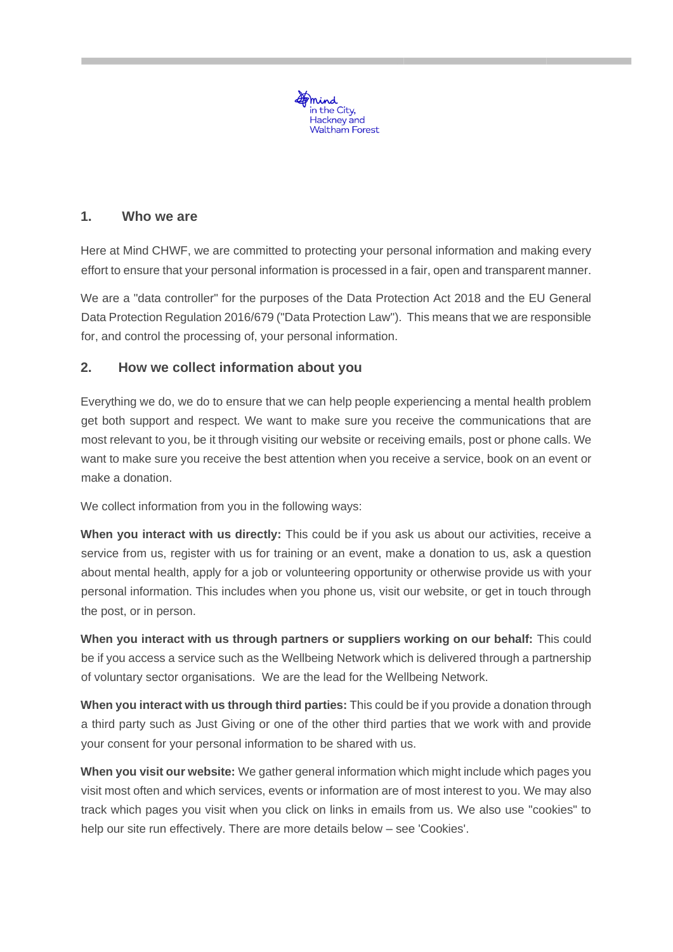

# **1. Who we are**

Here at Mind CHWF, we are committed to protecting your personal information and making every effort to ensure that your personal information is processed in a fair, open and transparent manner.

We are a "data controller" for the purposes of the Data Protection Act 2018 and the EU General Data Protection Regulation 2016/679 ("Data Protection Law"). This means that we are responsible for, and control the processing of, your personal information.

## **2. How we collect information about you**

Everything we do, we do to ensure that we can help people experiencing a mental health problem get both support and respect. We want to make sure you receive the communications that are most relevant to you, be it through visiting our website or receiving emails, post or phone calls. We want to make sure you receive the best attention when you receive a service, book on an event or make a donation.

We collect information from you in the following ways:

**When you interact with us directly:** This could be if you ask us about our activities, receive a service from us, register with us for training or an event, make a donation to us, ask a question about mental health, apply for a job or volunteering opportunity or otherwise provide us with your personal information. This includes when you phone us, visit our website, or get in touch through the post, or in person.

**When you interact with us through partners or suppliers working on our behalf:** This could be if you access a service such as the Wellbeing Network which is delivered through a partnership of voluntary sector organisations. We are the lead for the Wellbeing Network.

**When you interact with us through third parties:** This could be if you provide a donation through a third party such as Just Giving or one of the other third parties that we work with and provide your consent for your personal information to be shared with us.

**When you visit our website:** We gather general information which might include which pages you visit most often and which services, events or information are of most interest to you. We may also track which pages you visit when you click on links in emails from us. We also use "cookies" to help our site run effectively. There are more details below – see 'Cookies'.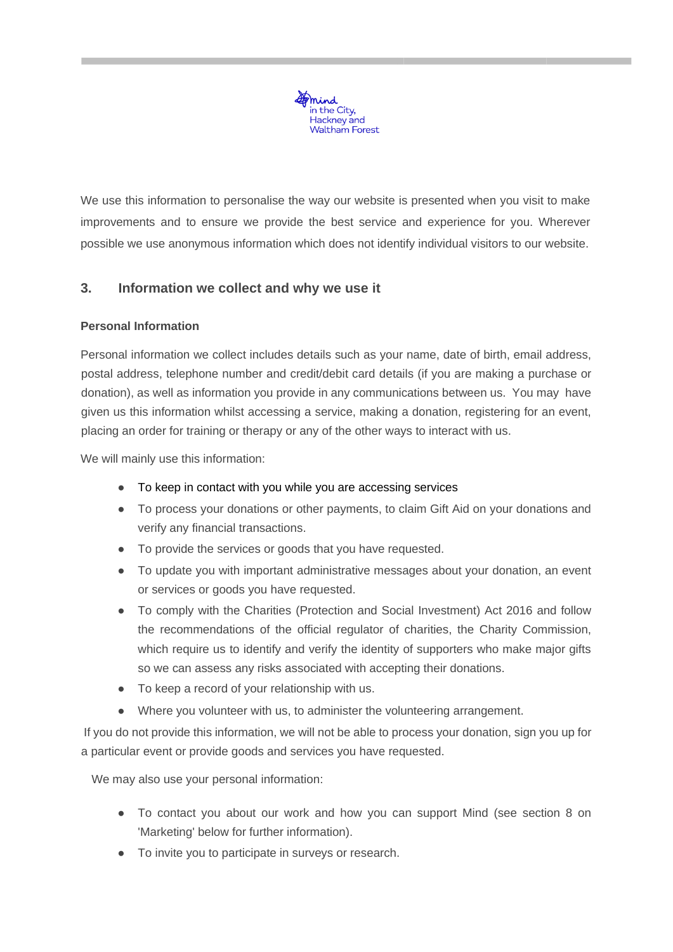

We use this information to personalise the way our website is presented when you visit to make improvements and to ensure we provide the best service and experience for you. Wherever possible we use anonymous information which does not identify individual visitors to our website.

# **3. Information we collect and why we use it**

## **Personal Information**

Personal information we collect includes details such as your name, date of birth, email address, postal address, telephone number and credit/debit card details (if you are making a purchase or donation), as well as information you provide in any communications between us. You may have given us this information whilst accessing a service, making a donation, registering for an event, placing an order for training or therapy or any of the other ways to interact with us.

We will mainly use this information:

- To keep in contact with you while you are accessing services
- To process your donations or other payments, to claim Gift Aid on your donations and verify any financial transactions.
- To provide the services or goods that you have requested.
- To update you with important administrative messages about your donation, an event or services or goods you have requested.
- To comply with the Charities (Protection and Social Investment) Act 2016 and follow the recommendations of the official regulator of charities, the Charity Commission, which require us to identify and verify the identity of supporters who make major gifts so we can assess any risks associated with accepting their donations.
- To keep a record of your relationship with us.
- Where you volunteer with us, to administer the volunteering arrangement.

If you do not provide this information, we will not be able to process your donation, sign you up for a particular event or provide goods and services you have requested.

We may also use your personal information:

- To contact you about our work and how you can support Mind (see section 8 on 'Marketing' below for further information).
- To invite you to participate in surveys or research.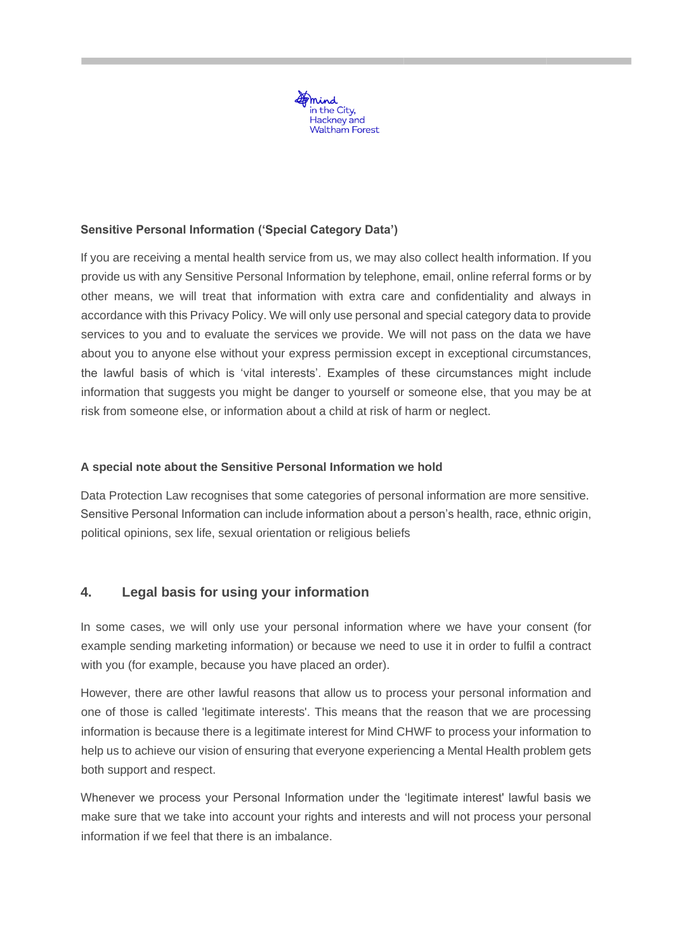

### **Sensitive Personal Information ('Special Category Data')**

If you are receiving a mental health service from us, we may also collect health information. If you provide us with any Sensitive Personal Information by telephone, email, online referral forms or by other means, we will treat that information with extra care and confidentiality and always in accordance with this Privacy Policy. We will only use personal and special category data to provide services to you and to evaluate the services we provide. We will not pass on the data we have about you to anyone else without your express permission except in exceptional circumstances, the lawful basis of which is 'vital interests'. Examples of these circumstances might include information that suggests you might be danger to yourself or someone else, that you may be at risk from someone else, or information about a child at risk of harm or neglect.

#### **A special note about the Sensitive Personal Information we hold**

Data Protection Law recognises that some categories of personal information are more sensitive. Sensitive Personal Information can include information about a person's health, race, ethnic origin, political opinions, sex life, sexual orientation or religious beliefs

## **4. Legal basis for using your information**

In some cases, we will only use your personal information where we have your consent (for example sending marketing information) or because we need to use it in order to fulfil a contract with you (for example, because you have placed an order).

However, there are other lawful reasons that allow us to process your personal information and one of those is called 'legitimate interests'. This means that the reason that we are processing information is because there is a legitimate interest for Mind CHWF to process your information to help us to achieve our vision of ensuring that everyone experiencing a Mental Health problem gets both support and respect.

Whenever we process your Personal Information under the 'legitimate interest' lawful basis we make sure that we take into account your rights and interests and will not process your personal information if we feel that there is an imbalance.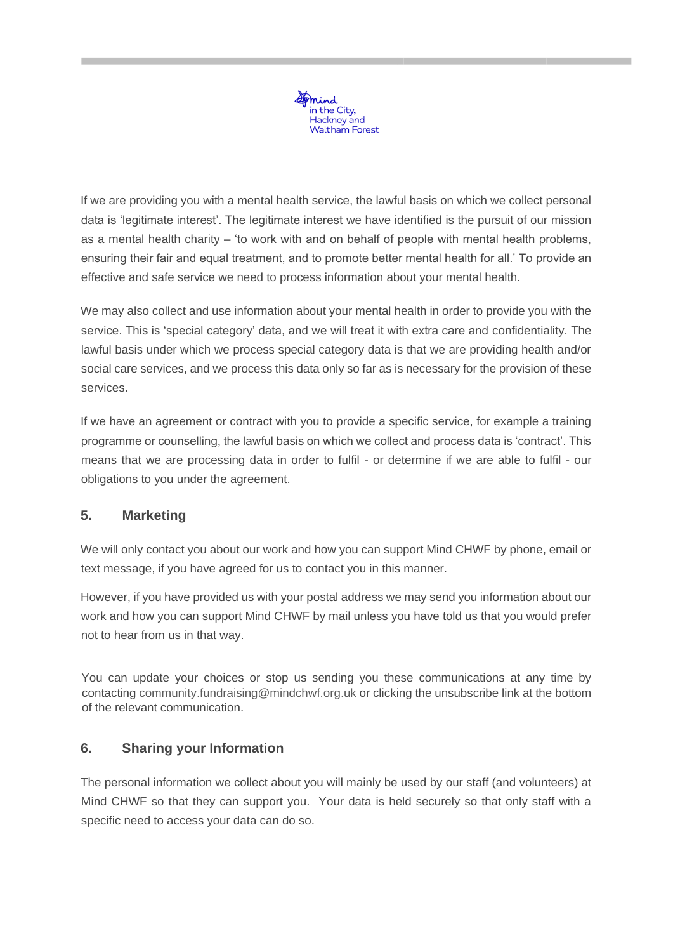

If we are providing you with a mental health service, the lawful basis on which we collect personal data is 'legitimate interest'. The legitimate interest we have identified is the pursuit of our mission as a mental health charity – 'to work with and on behalf of people with mental health problems, ensuring their fair and equal treatment, and to promote better mental health for all.' To provide an effective and safe service we need to process information about your mental health.

We may also collect and use information about your mental health in order to provide you with the service. This is 'special category' data, and we will treat it with extra care and confidentiality. The lawful basis under which we process special category data is that we are providing health and/or social care services, and we process this data only so far as is necessary for the provision of these services.

If we have an agreement or contract with you to provide a specific service, for example a training programme or counselling, the lawful basis on which we collect and process data is 'contract'. This means that we are processing data in order to fulfil - or determine if we are able to fulfil - our obligations to you under the agreement.

# **5. Marketing**

We will only contact you about our work and how you can support Mind CHWF by phone, email or text message, if you have agreed for us to contact you in this manner.

However, if you have provided us with your postal address we may send you information about our work and how you can support Mind CHWF by mail unless you have told us that you would prefer not to hear from us in that way.

You can update your choices or stop us sending you these communications at any time by contacting community.fundraising@mindchwf.org.uk or clicking the unsubscribe link at the bottom of the relevant communication.

## **6. Sharing your Information**

The personal information we collect about you will mainly be used by our staff (and volunteers) at Mind CHWF so that they can support you. Your data is held securely so that only staff with a specific need to access your data can do so.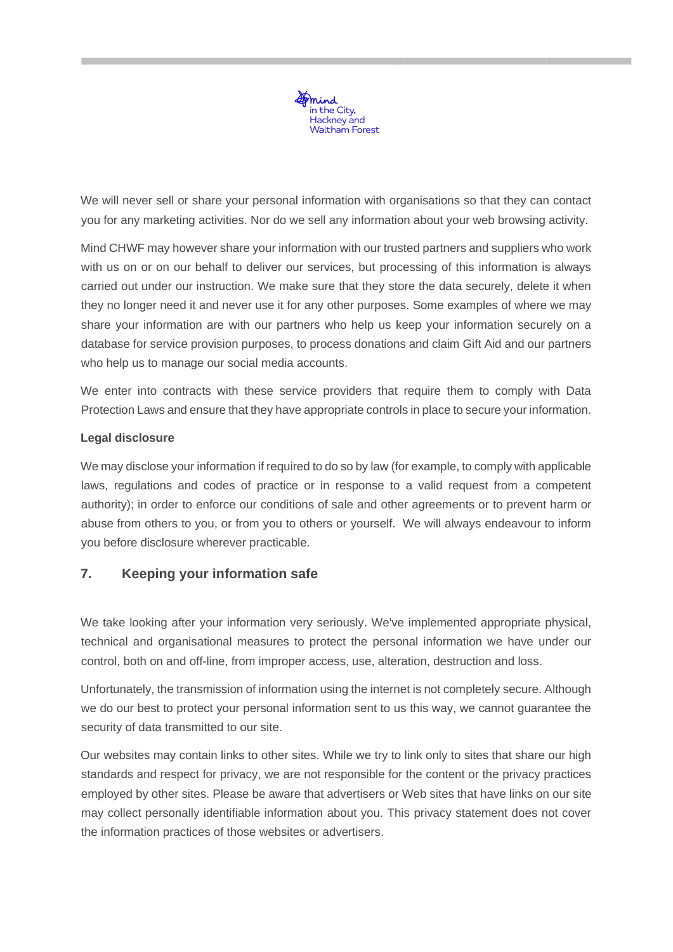

We will never sell or share your personal information with organisations so that they can contact you for any marketing activities. Nor do we sell any information about your web browsing activity.

Mind CHWF may however share your information with our trusted partners and suppliers who work with us on or on our behalf to deliver our services, but processing of this information is always carried out under our instruction. We make sure that they store the data securely, delete it when they no longer need it and never use it for any other purposes. Some examples of where we may share your information are with our partners who help us keep your information securely on a database for service provision purposes, to process donations and claim Gift Aid and our partners who help us to manage our social media accounts.

We enter into contracts with these service providers that require them to comply with Data Protection Laws and ensure that they have appropriate controls in place to secure your information.

## **Legal disclosure**

We may disclose your information if required to do so by law (for example, to comply with applicable laws, regulations and codes of practice or in response to a valid request from a competent authority); in order to enforce our conditions of sale and other agreements or to prevent harm or abuse from others to you, or from you to others or yourself. We will always endeavour to inform you before disclosure wherever practicable.

## **7. Keeping your information safe**

We take looking after your information very seriously. We've implemented appropriate physical, technical and organisational measures to protect the personal information we have under our control, both on and off-line, from improper access, use, alteration, destruction and loss.

Unfortunately, the transmission of information using the internet is not completely secure. Although we do our best to protect your personal information sent to us this way, we cannot guarantee the security of data transmitted to our site.

Our websites may contain links to other sites. While we try to link only to sites that share our high standards and respect for privacy, we are not responsible for the content or the privacy practices employed by other sites. Please be aware that advertisers or Web sites that have links on our site may collect personally identifiable information about you. This privacy statement does not cover the information practices of those websites or advertisers.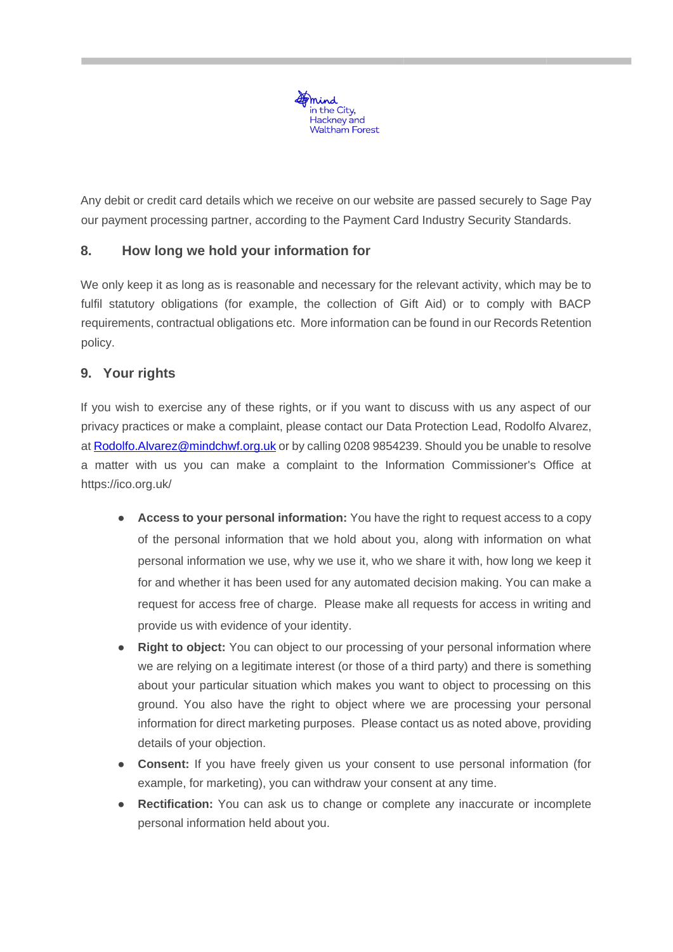

Any debit or credit card details which we receive on our website are passed securely to Sage Pay our payment processing partner, according to the Payment Card Industry Security Standards.

# **8. How long we hold your information for**

We only keep it as long as is reasonable and necessary for the relevant activity, which may be to fulfil statutory obligations (for example, the collection of Gift Aid) or to comply with BACP requirements, contractual obligations etc. More information can be found in our Records Retention policy.

# **9. Your rights**

If you wish to exercise any of these rights, or if you want to discuss with us any aspect of our privacy practices or make a complaint, please contact our Data Protection Lead, Rodolfo Alvarez, at Rodolfo.Alvarez@mindchwf.org.uk or by calling 0208 9854239. Should you be unable to resolve a matter with us you can make a complaint to the Information Commissioner's Office at https://ico.org.uk/

- **Access to your personal information:** You have the right to request access to a copy of the personal information that we hold about you, along with information on what personal information we use, why we use it, who we share it with, how long we keep it for and whether it has been used for any automated decision making. You can make a request for access free of charge. Please make all requests for access in writing and provide us with evidence of your identity.
- **Right to object:** You can object to our processing of your personal information where we are relying on a legitimate interest (or those of a third party) and there is something about your particular situation which makes you want to object to processing on this ground. You also have the right to object where we are processing your personal information for direct marketing purposes. Please contact us as noted above, providing details of your objection.
- **Consent:** If you have freely given us your consent to use personal information (for example, for marketing), you can withdraw your consent at any time.
- **Rectification:** You can ask us to change or complete any inaccurate or incomplete personal information held about you.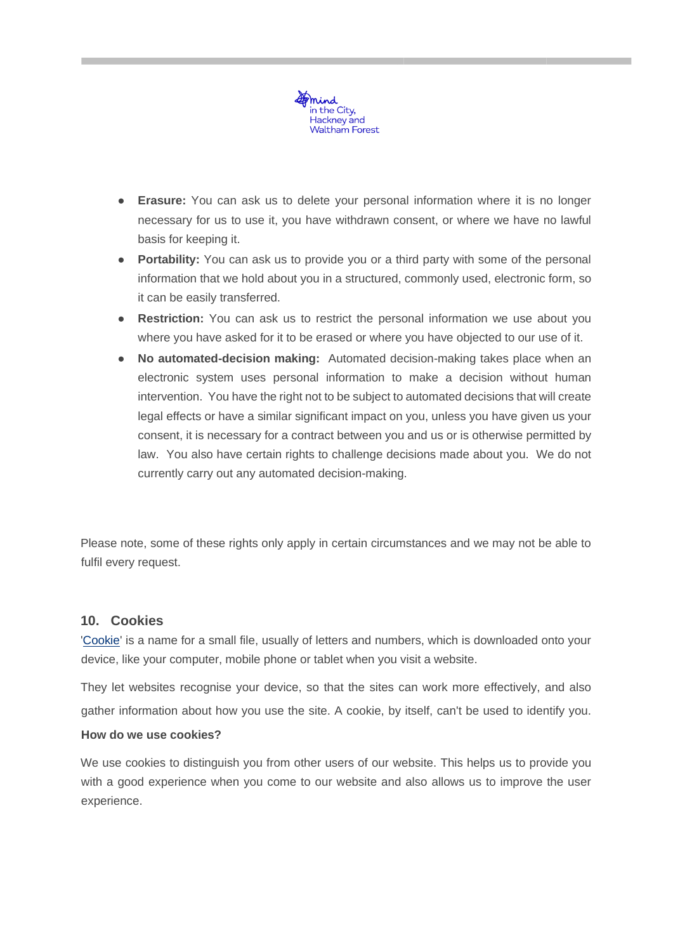

- **Erasure:** You can ask us to delete your personal information where it is no longer necessary for us to use it, you have withdrawn consent, or where we have no lawful basis for keeping it.
- **Portability:** You can ask us to provide you or a third party with some of the personal information that we hold about you in a structured, commonly used, electronic form, so it can be easily transferred.
- **Restriction:** You can ask us to restrict the personal information we use about you where you have asked for it to be erased or where you have objected to our use of it.
- **No automated-decision making:** Automated decision-making takes place when an electronic system uses personal information to make a decision without human intervention. You have the right not to be subject to automated decisions that will create legal effects or have a similar significant impact on you, unless you have given us your consent, it is necessary for a contract between you and us or is otherwise permitted by law. You also have certain rights to challenge decisions made about you. We do not currently carry out any automated decision-making.

Please note, some of these rights only apply in certain circumstances and we may not be able to fulfil every request.

#### **10. Cookies**

['Cookie' i](http://www.allaboutcookies.org/cookies/)s a name for a small file, usually of letters and numbers, which is downloaded onto your device, like your computer, mobile phone or tablet when you visit a website.

They let websites recognise your device, so that the sites can work more effectively, and also gather information about how you use the site. A cookie, by itself, can't be used to identify you.

#### **How do we use cookies?**

We use cookies to distinguish you from other users of our website. This helps us to provide you with a good experience when you come to our website and also allows us to improve the user experience.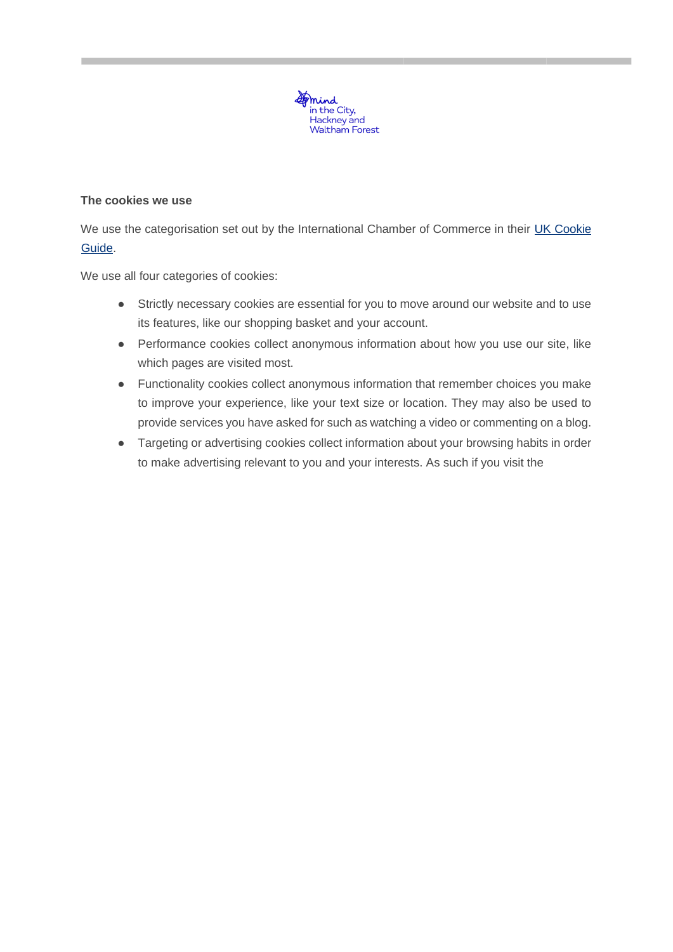

#### **The cookies we use**

We use the categorisation set out by the International Chamber of Commerce in their [UK Cookie](https://www.cookielaw.org/media/1096/icc_uk_cookiesguide_revnov.pdf) [Guide.](https://www.cookielaw.org/media/1096/icc_uk_cookiesguide_revnov.pdf)

We use all four categories of cookies:

- Strictly necessary cookies are essential for you to move around our website and to use its features, like our shopping basket and your account.
- Performance cookies collect anonymous information about how you use our site, like which pages are visited most.
- Functionality cookies collect anonymous information that remember choices you make to improve your experience, like your text size or location. They may also be used to provide services you have asked for such as watching a video or commenting on a blog.
- Targeting or advertising cookies collect information about your browsing habits in order to make advertising relevant to you and your interests. As such if you visit the